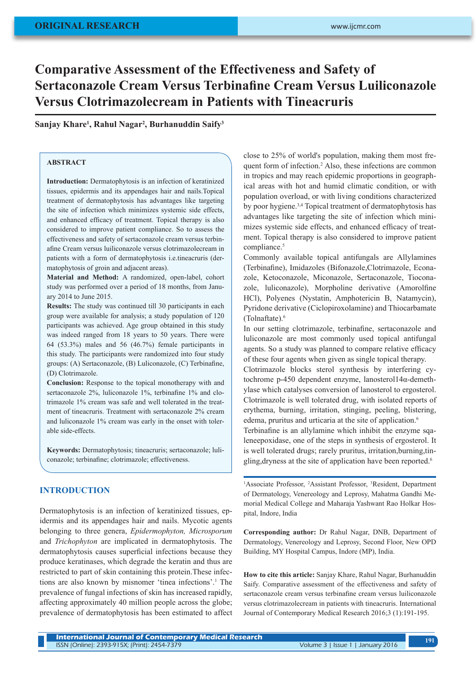# **Comparative Assessment of the Effectiveness and Safety of Sertaconazole Cream Versus Terbinafine Cream Versus Luiliconazole Versus Clotrimazolecream in Patients with Tineacruris**

# **Sanjay Khare1 , Rahul Nagar2 , Burhanuddin Saify3**

# **ABSTRACT**

**Introduction:** Dermatophytosis is an infection of keratinized tissues, epidermis and its appendages hair and nails.Topical treatment of dermatophytosis has advantages like targeting the site of infection which minimizes systemic side effects, and enhanced efficacy of treatment. Topical therapy is also considered to improve patient compliance. So to assess the effectiveness and safety of sertaconazole cream versus terbinafine Cream versus luiliconazole versus clotrimazolecream in patients with a form of dermatophytosis i.e.tineacruris (dermatophytosis of groin and adjacent areas).

**Material and Method:** A randomized, open-label, cohort study was performed over a period of 18 months, from January 2014 to June 2015.

**Results:** The study was continued till 30 participants in each group were available for analysis; a study population of 120 participants was achieved. Age group obtained in this study was indeed ranged from 18 years to 50 years. There were 64 (53.3%) males and 56 (46.7%) female participants in this study. The participants were randomized into four study groups: (A) Sertaconazole, (B) Luliconazole, (C) Terbinafine, (D) Clotrimazole.

**Conclusion:** Response to the topical monotherapy with and sertaconazole 2%, luliconazole 1%, terbinafine 1% and clotrimazole 1% cream was safe and well tolerated in the treatment of tineacruris. Treatment with sertaconazole 2% cream and luliconazole 1% cream was early in the onset with tolerable side-effects.

**Keywords:** Dermatophytosis; tineacruris; sertaconazole; luliconazole; terbinafine; clotrimazole; effectiveness.

## **INTRODUCTION**

Dermatophytosis is an infection of keratinized tissues, epidermis and its appendages hair and nails. Mycotic agents belonging to three genera, *Epidermophyton, Microsporum* and *Trichophyton* are implicated in dermatophytosis. The dermatophytosis causes superficial infections because they produce keratinases, which degrade the keratin and thus are restricted to part of skin containing this protein.These infections are also known by misnomer 'tinea infections'.1 The prevalence of fungal infections of skin has increased rapidly, affecting approximately 40 million people across the globe; prevalence of dermatophytosis has been estimated to affect

close to 25% of world's population, making them most frequent form of infection.<sup>2</sup> Also, these infections are common in tropics and may reach epidemic proportions in geographical areas with hot and humid climatic condition, or with population overload, or with living conditions characterized by poor hygiene.3,4 Topical treatment of dermatophytosis has advantages like targeting the site of infection which minimizes systemic side effects, and enhanced efficacy of treatment. Topical therapy is also considered to improve patient compliance.<sup>5</sup>

Commonly available topical antifungals are Allylamines (Terbinafine), Imidazoles (Bifonazole,Clotrimazole, Econazole, Ketoconazole, Miconazole, Sertaconazole, Tioconazole, luliconazole), Morpholine derivative (Amorolfine HCl), Polyenes (Nystatin, Amphotericin B, Natamycin), Pyridone derivative (Ciclopiroxolamine) and Thiocarbamate (Tolnaftate).6

In our setting clotrimazole, terbinafine, sertaconazole and luliconazole are most commonly used topical antifungal agents. So a study was planned to compare relative efficacy of these four agents when given as single topical therapy.

Clotrimazole blocks sterol synthesis by interfering cytochrome p-450 dependent enzyme, lanosterol14α-demethylase which catalyses conversion of lanosterol to ergosterol. Clotrimazole is well tolerated drug, with isolated reports of erythema, burning, irritation, stinging, peeling, blistering, edema, pruritus and urticaria at the site of application.<sup>6</sup> Terbinafine is an allylamine which inhibit the enzyme sqaleneepoxidase, one of the steps in synthesis of ergosterol. It

is well tolerated drugs; rarely pruritus, irritation,burning,tingling, dryness at the site of application have been reported.<sup>6</sup>

<sup>1</sup>Associate Professor, <sup>2</sup>Assistant Professor, <sup>3</sup>Resident, Department of Dermatology, Venereology and Leprosy, Mahatma Gandhi Memorial Medical College and Maharaja Yashwant Rao Holkar Hospital, Indore, India

**Corresponding author:** Dr Rahul Nagar, DNB, Department of Dermatology, Venereology and Leprosy, Second Floor, New OPD Building, MY Hospital Campus, Indore (MP), India.

**How to cite this article:** Sanjay Khare, Rahul Nagar, Burhanuddin Saify. Comparative assessment of the effectiveness and safety of sertaconazole cream versus terbinafine cream versus luiliconazole versus clotrimazolecream in patients with tineacruris. International Journal of Contemporary Medical Research 2016;3 (1):191-195.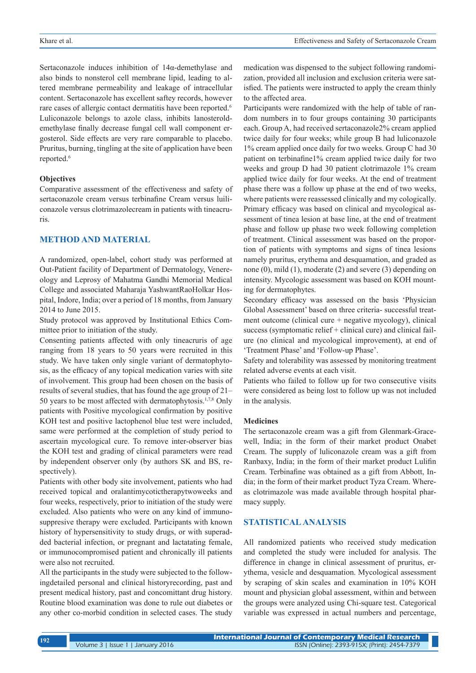Sertaconazole induces inhibition of 14α-demethylase and also binds to nonsterol cell membrane lipid, leading to altered membrane permeability and leakage of intracellular content. Sertaconazole has excellent saftey records, however rare cases of allergic contact dermatitis have been reported.<sup>6</sup> Luliconazole belongs to azole class, inhibits lanosteroldemethylase finally decrease fungal cell wall component ergosterol. Side effects are very rare comparable to placebo. Pruritus, burning, tingling at the site of application have been reported.<sup>6</sup>

#### **Objectives**

Comparative assessment of the effectiveness and safety of sertaconazole cream versus terbinafine Cream versus luiliconazole versus clotrimazolecream in patients with tineacruris.

# **METHOD AND MATERIAL**

A randomized, open-label, cohort study was performed at Out-Patient facility of Department of Dermatology, Venereology and Leprosy of Mahatma Gandhi Memorial Medical College and associated Maharaja YashwantRaoHolkar Hospital, Indore, India; over a period of 18 months, from January 2014 to June 2015.

Study protocol was approved by Institutional Ethics Committee prior to initiation of the study.

Consenting patients affected with only tineacruris of age ranging from 18 years to 50 years were recruited in this study. We have taken only single variant of dermatophytosis, as the efficacy of any topical medication varies with site of involvement. This group had been chosen on the basis of results of several studies, that has found the age group of 21– 50 years to be most affected with dermatophytosis.1,7,8 Only patients with Positive mycological confirmation by positive KOH test and positive lactophenol blue test were included, same were performed at the completion of study period to ascertain mycological cure. To remove inter-observer bias the KOH test and grading of clinical parameters were read by independent observer only (by authors SK and BS, respectively).

Patients with other body site involvement, patients who had received topical and oralantimycotictherapytwoweeks and four weeks, respectively, prior to initiation of the study were excluded. Also patients who were on any kind of immunosuppresive therapy were excluded. Participants with known history of hypersensitivity to study drugs, or with superadded bacterial infection, or pregnant and lactatating female, or immunocompromised patient and chronically ill patients were also not recruited.

All the participants in the study were subjected to the followingdetailed personal and clinical historyrecording, past and present medical history, past and concomittant drug history. Routine blood examination was done to rule out diabetes or any other co-morbid condition in selected cases. The study

medication was dispensed to the subject following randomization, provided all inclusion and exclusion criteria were satisfied. The patients were instructed to apply the cream thinly to the affected area.

Participants were randomized with the help of table of random numbers in to four groups containing 30 participants each. Group A, had received sertaconazole2% cream applied twice daily for four weeks; while group B had luliconazole 1% cream applied once daily for two weeks. Group C had 30 patient on terbinafine1% cream applied twice daily for two weeks and group D had 30 patient clotrimazole 1% cream applied twice daily for four weeks. At the end of treatment phase there was a follow up phase at the end of two weeks, where patients were reassessed clinically and my cologically. Primary efficacy was based on clinical and mycological assessment of tinea lesion at base line, at the end of treatment phase and follow up phase two week following completion of treatment. Clinical assessment was based on the proportion of patients with symptoms and signs of tinea lesions namely pruritus, erythema and desquamation, and graded as none (0), mild (1), moderate (2) and severe (3) depending on intensity. Mycologic assessment was based on KOH mounting for dermatophytes.

Secondary efficacy was assessed on the basis 'Physician Global Assessment' based on three criteria- successful treatment outcome (clinical cure + negative mycology), clinical success (symptomatic relief + clinical cure) and clinical failure (no clinical and mycological improvement), at end of 'Treatment Phase' and 'Follow-up Phase'.

Safety and tolerability was assessed by monitoring treatment related adverse events at each visit.

Patients who failed to follow up for two consecutive visits were considered as being lost to follow up was not included in the analysis.

### **Medicines**

The sertaconazole cream was a gift from Glenmark-Gracewell, India; in the form of their market product Onabet Cream. The supply of luliconazole cream was a gift from Ranbaxy, India; in the form of their market product Lulifin Cream. Terbinafine was obtained as a gift from Abbott, India; in the form of their market product Tyza Cream. Whereas clotrimazole was made available through hospital pharmacy supply.

## **STATISTICAL ANALYSIS**

All randomized patients who received study medication and completed the study were included for analysis. The difference in change in clinical assessment of pruritus, erythema, vesicle and desquamation. Mycological assessment by scraping of skin scales and examination in 10% KOH mount and physician global assessment, within and between the groups were analyzed using Chi-square test. Categorical variable was expressed in actual numbers and percentage,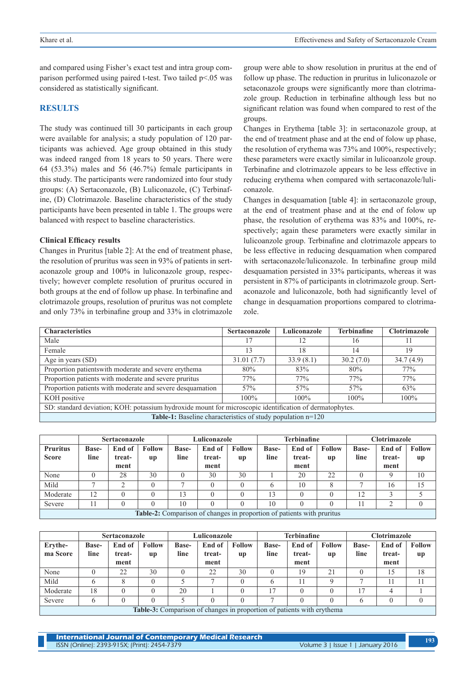and compared using Fisher's exact test and intra group comparison performed using paired t-test. Two tailed p<.05 was considered as statistically significant.

## **RESULTS**

The study was continued till 30 participants in each group were available for analysis; a study population of 120 participants was achieved. Age group obtained in this study was indeed ranged from 18 years to 50 years. There were 64 (53.3%) males and 56 (46.7%) female participants in this study. The participants were randomized into four study groups: (A) Sertaconazole, (B) Luliconazole, (C) Terbinafine, (D) Clotrimazole. Baseline characteristics of the study participants have been presented in table 1. The groups were balanced with respect to baseline characteristics.

## **Clinical Efficacy results**

Changes in Pruritus [table 2]: At the end of treatment phase, the resolution of pruritus was seen in 93% of patients in sertaconazole group and 100% in luliconazole group, respectively; however complete resolution of pruritus occured in both groups at the end of follow up phase. In terbinafine and clotrimazole groups, resolution of pruritus was not complete and only 73% in terbinafine group and 33% in clotrimazole

group were able to show resolution in pruritus at the end of follow up phase. The reduction in pruritus in luliconazole or setaconazole groups were significantly more than clotrimazole group. Reduction in terbinafine although less but no significant relation was found when compared to rest of the groups.

Changes in Erythema [table 3]: in sertaconazole group, at the end of treatment phase and at the end of folow up phase, the resolution of erythema was 73% and 100%, respectively; these parameters were exactly similar in lulicoanzole group. Terbinafine and clotrimazole appears to be less effective in reducing erythema when compared with sertaconazole/luliconazole.

Changes in desquamation [table 4]: in sertaconazole group, at the end of treatment phase and at the end of folow up phase, the resolution of erythema was 83% and 100%, respectively; again these parameters were exactly similar in lulicoanzole group. Terbinafine and clotrimazole appears to be less effective in reducing desquamation when compared with sertaconazole/luliconazole. In terbinafine group mild desquamation persisted in 33% participants, whereas it was persistent in 87% of participants in clotrimazole group. Sertaconazole and luliconazole, both had significantly level of change in desquamation proportions compared to clotrimazole.

| <b>Characteristics</b>                                                                                  | <b>Sertaconazole</b> | Luliconazole | <b>Terbinafine</b> | <b>Clotrimazole</b> |  |  |  |  |  |  |
|---------------------------------------------------------------------------------------------------------|----------------------|--------------|--------------------|---------------------|--|--|--|--|--|--|
| Male                                                                                                    | 17                   | 12           | 16                 |                     |  |  |  |  |  |  |
| Female                                                                                                  | 13                   | 18           | 14                 | 19                  |  |  |  |  |  |  |
| Age in years (SD)                                                                                       | 31.01(7.7)           | 33.9(8.1)    | 30.2(7.0)          | 34.7(4.9)           |  |  |  |  |  |  |
| Proportion patients with moderate and severe erythema                                                   | 80%                  | 83%          | 80%                | 77%                 |  |  |  |  |  |  |
| Proportion patients with moderate and severe pruritus                                                   | 77%                  | 77%          | 77%                | 77%                 |  |  |  |  |  |  |
| Proportion patients with moderate and severe desquamation                                               | 57%                  | 57%          | 57%                | 63%                 |  |  |  |  |  |  |
| KOH positive                                                                                            | $100\%$              | $100\%$      | $100\%$            | $100\%$             |  |  |  |  |  |  |
| SD: standard deviation; KOH: potassium hydroxide mount for microscopic identification of dermatophytes. |                      |              |                    |                     |  |  |  |  |  |  |
| Table-1: Baseline characteristics of study population n=120                                             |                      |              |                    |                     |  |  |  |  |  |  |

|                                                                        | <b>Sertaconazole</b> |                  |                     | Luliconazole         |                  |                     |                      | <b>Terbinafine</b> |                     | <b>Clotrimazole</b>  |                  |               |
|------------------------------------------------------------------------|----------------------|------------------|---------------------|----------------------|------------------|---------------------|----------------------|--------------------|---------------------|----------------------|------------------|---------------|
| <b>Pruritus</b><br><b>Score</b>                                        | <b>Base-</b><br>line | End of<br>treat- | <b>Follow</b><br>up | <b>Base-</b><br>line | End of<br>treat- | <b>Follow</b><br>up | <b>Base-</b><br>line | End of<br>treat-   | <b>Follow</b><br>up | <b>Base-</b><br>line | End of<br>treat- | <b>Follow</b> |
|                                                                        |                      | ment             |                     |                      | ment             |                     |                      | ment               |                     |                      | ment             | up            |
| None                                                                   |                      | 28               | 30                  |                      | 30               | 30                  |                      | 20                 | 22                  |                      | Q                | 10            |
| Mild                                                                   |                      | ◠                |                     |                      | $\theta$         | 0                   | h                    | 10                 |                     |                      | 16               | 15            |
| Moderate                                                               | 12                   |                  |                     | 3                    |                  |                     | 13                   |                    |                     | 12                   |                  |               |
| Severe                                                                 |                      |                  |                     | 10                   |                  |                     | 10                   |                    |                     |                      |                  |               |
| Table-2: Comparison of changes in proportion of patients with pruritus |                      |                  |                     |                      |                  |                     |                      |                    |                     |                      |                  |               |

|                                                                               | <b>Sertaconazole</b> |        |               | Luliconazole |        |               |              | <b>Terbinafine</b> |               | <b>Clotrimazole</b> |        |               |
|-------------------------------------------------------------------------------|----------------------|--------|---------------|--------------|--------|---------------|--------------|--------------------|---------------|---------------------|--------|---------------|
| Ervthe-                                                                       | <b>Base-</b>         | End of | <b>Follow</b> | Base-        | End of | <b>Follow</b> | <b>Base-</b> | End of             | <b>Follow</b> | <b>Base-</b>        | End of | <b>Follow</b> |
| ma Score                                                                      | line                 | treat- | <b>up</b>     | line         | treat- | <b>up</b>     | line         | treat-             | up            | line                | treat- | up            |
|                                                                               |                      | ment   |               |              | ment   |               |              | ment               |               |                     | ment   |               |
| None                                                                          |                      | 22     | 30            |              | 22     | 30            |              | 19                 | 21            |                     | 15     | 18            |
| Mild                                                                          |                      |        |               |              | -      | $\theta$      |              | 11                 |               |                     |        |               |
| Moderate                                                                      | 18                   |        |               | 20           |        | $\theta$      | $\tau$       |                    |               | $\overline{\tau}$   |        |               |
| Severe                                                                        |                      |        |               |              |        | $\theta$      |              |                    |               |                     |        |               |
| <b>Table-3:</b> Comparison of changes in proportion of patients with erythema |                      |        |               |              |        |               |              |                    |               |                     |        |               |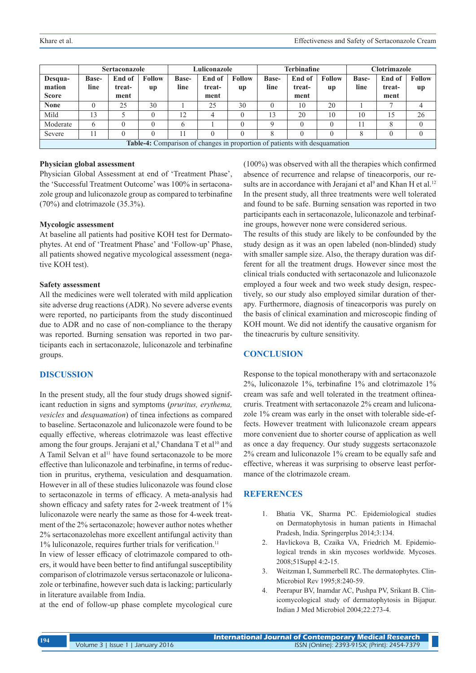|                                                                            | <b>Sertaconazole</b> |                |               | Luliconazole |                |               |              | Terbinafine    |               | Clotrimazole |                |               |
|----------------------------------------------------------------------------|----------------------|----------------|---------------|--------------|----------------|---------------|--------------|----------------|---------------|--------------|----------------|---------------|
| Desqua-                                                                    | <b>Base-</b>         | End of         | <b>Follow</b> | <b>Base-</b> | End of         | <b>Follow</b> | <b>Base-</b> | End of         | <b>Follow</b> | <b>Base-</b> | End of         | <b>Follow</b> |
| mation<br><b>Score</b>                                                     | line                 | treat-<br>ment | <b>up</b>     | line         | treat-<br>ment | <b>up</b>     | line         | treat-<br>ment | <b>up</b>     | line         | treat-<br>ment | up            |
| <b>None</b>                                                                |                      | 25             | 30            |              | 25             | 30            |              | 10             | 20            |              |                |               |
| Mild                                                                       | 13                   |                |               | 12           | 4              | 0             | 13           | 20             | 10            | 10           | 15             | 26            |
| Moderate                                                                   | 6                    |                |               |              |                |               | $\Omega$     |                |               |              | 8              |               |
| Severe                                                                     |                      |                |               |              |                |               | 8            |                |               |              |                |               |
| Table-4: Comparison of changes in proportion of patients with desquamation |                      |                |               |              |                |               |              |                |               |              |                |               |

#### **Physician global assessment**

Physician Global Assessment at end of 'Treatment Phase', the 'Successful Treatment Outcome' was 100% in sertaconazole group and luliconazole group as compared to terbinafine (70%) and clotrimazole (35.3%).

#### **Mycologic assessment**

At baseline all patients had positive KOH test for Dermatophytes. At end of 'Treatment Phase' and 'Follow-up' Phase, all patients showed negative mycological assessment (negative KOH test).

#### **Safety assessment**

All the medicines were well tolerated with mild application site adverse drug reactions (ADR). No severe adverse events were reported, no participants from the study discontinued due to ADR and no case of non-compliance to the therapy was reported. Burning sensation was reported in two participants each in sertaconazole, luliconazole and terbinafine groups.

## **DISCUSSION**

In the present study, all the four study drugs showed significant reduction in signs and symptoms (*pruritus, erythema, vesicles* and *desquamation*) of tinea infections as compared to baseline. Sertaconazole and luliconazole were found to be equally effective, whereas clotrimazole was least effective among the four groups. Jerajani et al,<sup>9</sup> Chandana T et al<sup>10</sup> and A Tamil Selvan et al<sup>11</sup> have found sertaconazole to be more effective than luliconazole and terbinafine, in terms of reduction in pruritus, erythema, vesiculation and desquamation. However in all of these studies luliconazole was found close to sertaconazole in terms of efficacy. A meta-analysis had shown efficacy and safety rates for 2-week treatment of 1% luliconazole were nearly the same as those for 4-week treatment of the 2% sertaconazole; however author notes whether 2% sertaconazolehas more excellent antifungal activity than 1% luliconazole, requires further trials for verification.<sup>11</sup>

In view of lesser efficacy of clotrimazole compared to others, it would have been better to find antifungal susceptibility comparison of clotrimazole versus sertaconazole or luliconazole or terbinafine, however such data is lacking; particularly in literature available from India.

at the end of follow-up phase complete mycological cure

(100%) was observed with all the therapies which confirmed absence of recurrence and relapse of tineacorporis, our results are in accordance with Jerajani et al<sup>9</sup> and Khan H et al.<sup>12</sup> In the present study, all three treatments were well tolerated and found to be safe. Burning sensation was reported in two participants each in sertaconazole, luliconazole and terbinafine groups, however none were considered serious.

The results of this study are likely to be confounded by the study design as it was an open labeled (non-blinded) study with smaller sample size. Also, the therapy duration was different for all the treatment drugs. However since most the clinical trials conducted with sertaconazole and luliconazole employed a four week and two week study design, respectively, so our study also employed similar duration of therapy. Furthermore, diagnosis of tineacorporis was purely on the basis of clinical examination and microscopic finding of KOH mount. We did not identify the causative organism for the tineacruris by culture sensitivity.

### **CONCLUSION**

Response to the topical monotherapy with and sertaconazole 2%, luliconazole 1%, terbinafine 1% and clotrimazole 1% cream was safe and well tolerated in the treatment oftineacruris. Treatment with sertaconazole 2% cream and luliconazole 1% cream was early in the onset with tolerable side-effects. However treatment with luliconazole cream appears more convenient due to shorter course of application as well as once a day frequency. Our study suggests sertaconazole 2% cream and luliconazole 1% cream to be equally safe and effective, whereas it was surprising to observe least performance of the clotrimazole cream.

# **REFERENCES**

- 1. Bhatia VK, Sharma PC. Epidemiological studies on Dermatophytosis in human patients in Himachal Pradesh, India. Springerplus 2014;3:134.
- 2. Havlickova B, Czaika VA, Friedrich M. Epidemiological trends in skin mycoses worldwide. Mycoses. 2008;51Suppl 4:2-15.
- 3. Weitzman I, Summerbell RC. The dermatophytes. Clin-Microbiol Rev 1995;8:240-59.
- 4. Peerapur BV, Inamdar AC, Pushpa PV, Srikant B. Clinicomycological study of dermatophytosis in Bijapur. Indian J Med Microbiol 2004;22:273-4.